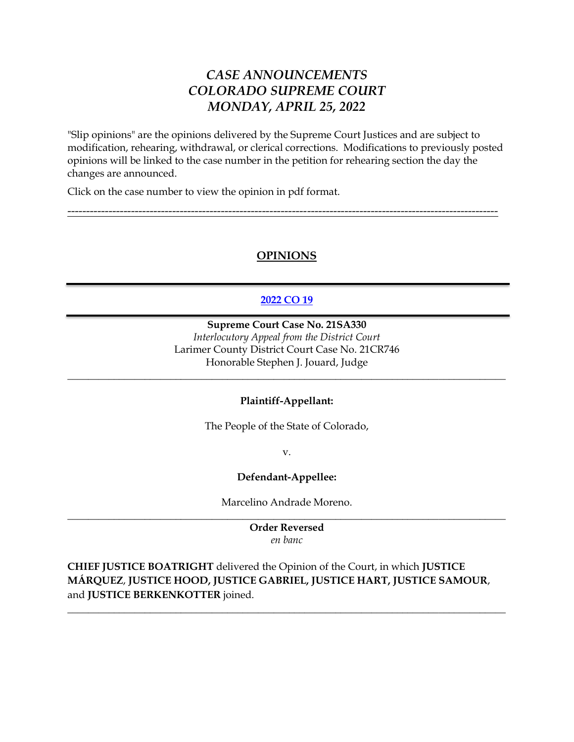# *CASE ANNOUNCEMENTS COLORADO SUPREME COURT MONDAY, APRIL 25, 2022*

"Slip opinions" are the opinions delivered by the Supreme Court Justices and are subject to modification, rehearing, withdrawal, or clerical corrections. Modifications to previously posted opinions will be linked to the case number in the petition for rehearing section the day the changes are announced.

Click on the case number to view the opinion in pdf format.

### **OPINIONS**

-------------------------------------------------------------------------------------------------------------------

### **[2022 CO 19](https://www.courts.state.co.us/userfiles/file/Court_Probation/Supreme_Court/Opinions/2021/21SA330.pdf)**

**Supreme Court Case No. 21SA330** *Interlocutory Appeal from the District Court* Larimer County District Court Case No. 21CR746 Honorable Stephen J. Jouard, Judge

#### **Plaintiff-Appellant:**

\_\_\_\_\_\_\_\_\_\_\_\_\_\_\_\_\_\_\_\_\_\_\_\_\_\_\_\_\_\_\_\_\_\_\_\_\_\_\_\_\_\_\_\_\_\_\_\_\_\_\_\_\_\_\_\_\_\_\_\_\_\_\_\_\_\_\_\_\_\_\_\_\_\_\_\_\_\_\_\_\_\_\_\_\_

The People of the State of Colorado,

v.

#### **Defendant-Appellee:**

Marcelino Andrade Moreno. \_\_\_\_\_\_\_\_\_\_\_\_\_\_\_\_\_\_\_\_\_\_\_\_\_\_\_\_\_\_\_\_\_\_\_\_\_\_\_\_\_\_\_\_\_\_\_\_\_\_\_\_\_\_\_\_\_\_\_\_\_\_\_\_\_\_\_\_\_\_\_\_\_\_\_\_\_\_\_\_\_\_\_\_\_

> **Order Reversed** *en banc*

**CHIEF JUSTICE BOATRIGHT** delivered the Opinion of the Court, in which **JUSTICE MÁRQUEZ**, **JUSTICE HOOD, JUSTICE GABRIEL, JUSTICE HART, JUSTICE SAMOUR**, and **JUSTICE BERKENKOTTER** joined.

\_\_\_\_\_\_\_\_\_\_\_\_\_\_\_\_\_\_\_\_\_\_\_\_\_\_\_\_\_\_\_\_\_\_\_\_\_\_\_\_\_\_\_\_\_\_\_\_\_\_\_\_\_\_\_\_\_\_\_\_\_\_\_\_\_\_\_\_\_\_\_\_\_\_\_\_\_\_\_\_\_\_\_\_\_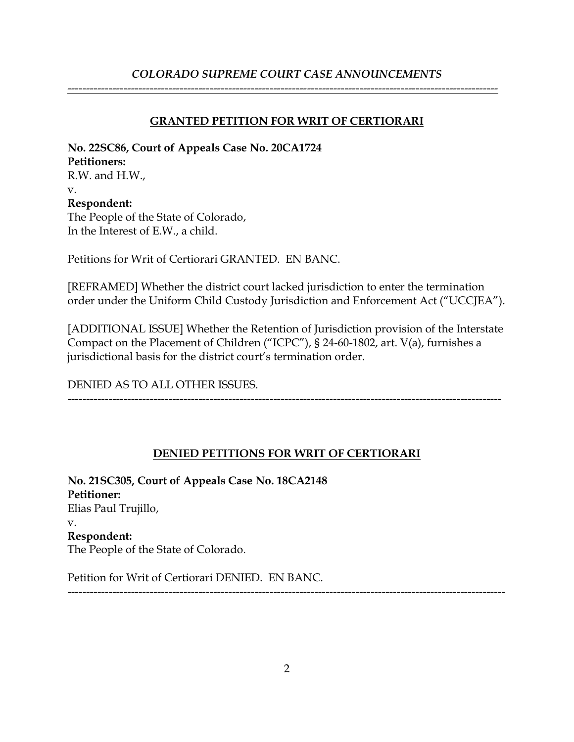## *COLORADO SUPREME COURT CASE ANNOUNCEMENTS*

-------------------------------------------------------------------------------------------------------------------

**GRANTED PETITION FOR WRIT OF CERTIORARI**

**No. 22SC86, Court of Appeals Case No. 20CA1724 Petitioners:** R.W. and H.W., v. **Respondent:** The People of the State of Colorado, In the Interest of E.W., a child.

Petitions for Writ of Certiorari GRANTED. EN BANC.

[REFRAMED] Whether the district court lacked jurisdiction to enter the termination order under the Uniform Child Custody Jurisdiction and Enforcement Act ("UCCJEA").

[ADDITIONAL ISSUE] Whether the Retention of Jurisdiction provision of the Interstate Compact on the Placement of Children ("ICPC"), § 24-60-1802, art. V(a), furnishes a jurisdictional basis for the district court's termination order.

DENIED AS TO ALL OTHER ISSUES.

--------------------------------------------------------------------------------------------------------------------

## **DENIED PETITIONS FOR WRIT OF CERTIORARI**

**No. 21SC305, Court of Appeals Case No. 18CA2148 Petitioner:** Elias Paul Trujillo, v. **Respondent:** The People of the State of Colorado.

Petition for Writ of Certiorari DENIED. EN BANC.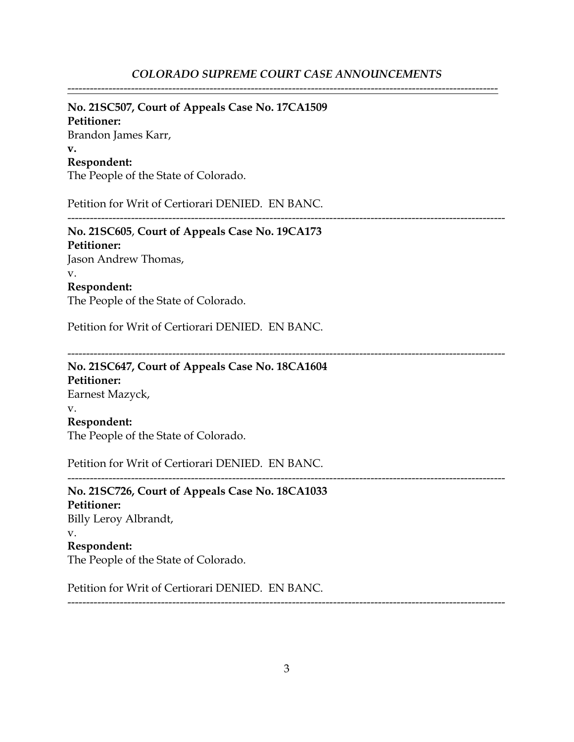-------------------------------------------------------------------------------------------------------------------

# **No. 21SC507, Court of Appeals Case No. 17CA1509**

**Petitioner:** Brandon James Karr, **v. Respondent:**

The People of the State of Colorado.

Petition for Writ of Certiorari DENIED. EN BANC.

---------------------------------------------------------------------------------------------------------------------

**No. 21SC605**, **Court of Appeals Case No. 19CA173 Petitioner:** Jason Andrew Thomas, v. **Respondent:**

The People of the State of Colorado.

Petition for Writ of Certiorari DENIED. EN BANC.

---------------------------------------------------------------------------------------------------------------------

---------------------------------------------------------------------------------------------------------------------

**No. 21SC647, Court of Appeals Case No. 18CA1604 Petitioner:** Earnest Mazyck, v. **Respondent:** The People of the State of Colorado.

Petition for Writ of Certiorari DENIED. EN BANC.

**No. 21SC726, Court of Appeals Case No. 18CA1033 Petitioner:** Billy Leroy Albrandt, v. **Respondent:** The People of the State of Colorado.

Petition for Writ of Certiorari DENIED. EN BANC.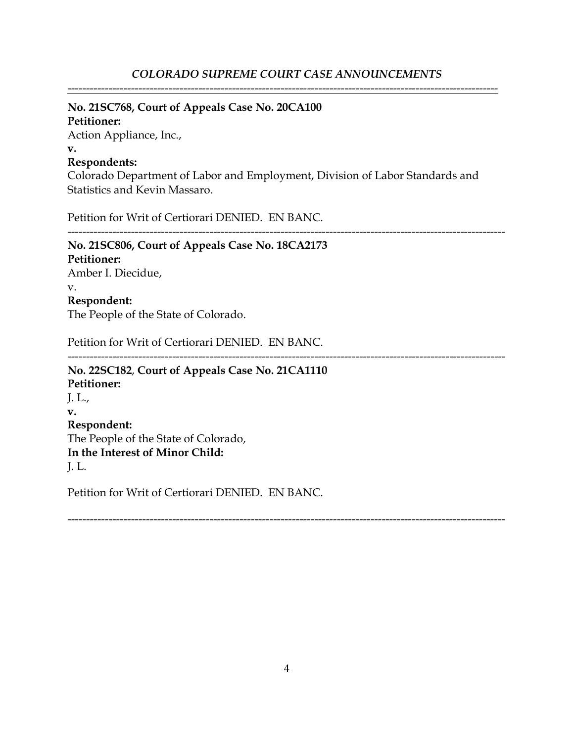## **No. 21SC768, Court of Appeals Case No. 20CA100**

## **Petitioner:**

Action Appliance, Inc., **v.**

## **Respondents:**

Colorado Department of Labor and Employment, Division of Labor Standards and Statistics and Kevin Massaro.

Petition for Writ of Certiorari DENIED. EN BANC.

---------------------------------------------------------------------------------------------------------------------

## **No. 21SC806, Court of Appeals Case No. 18CA2173 Petitioner:** Amber I. Diecidue, v. **Respondent:** The People of the State of Colorado.

Petition for Writ of Certiorari DENIED. EN BANC.

--------------------------------------------------------------------------------------------------------------------- **No. 22SC182**, **Court of Appeals Case No. 21CA1110 Petitioner:** J. L., **v. Respondent:** The People of the State of Colorado, **In the Interest of Minor Child:** J. L.

Petition for Writ of Certiorari DENIED. EN BANC.